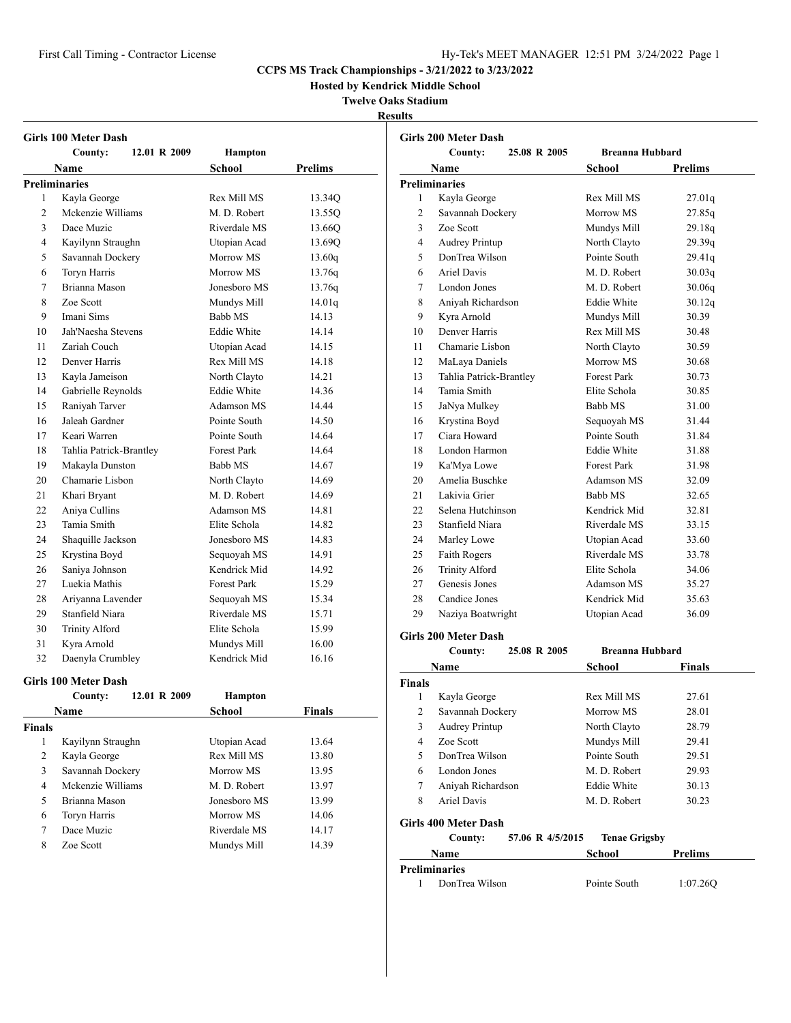**Hosted by Kendrick Middle School**

## **Twelve Oaks Stadium**

**Results**

|                | Girls 100 Meter Dash        |                    |                |
|----------------|-----------------------------|--------------------|----------------|
|                | 12.01 R 2009<br>County:     | <b>Hampton</b>     |                |
|                | Name                        | <b>School</b>      | <b>Prelims</b> |
|                | <b>Preliminaries</b>        |                    |                |
| 1              | Kayla George                | Rex Mill MS        | 13.34Q         |
| 2              | Mckenzie Williams           | M. D. Robert       | 13.55Q         |
| 3              | Dace Muzic                  | Riverdale MS       | 13.66Q         |
| 4              | Kayilynn Straughn           | Utopian Acad       | 13.69Q         |
| 5              | Savannah Dockery            | Morrow MS          | 13.60q         |
| 6              | Toryn Harris                | Morrow MS          | 13.76q         |
| 7              | Brianna Mason               | Jonesboro MS       | 13.76q         |
| 8              | Zoe Scott                   | Mundys Mill        | 14.01q         |
| 9              | Imani Sims                  | Babb MS            | 14.13          |
| 10             | Jah'Naesha Stevens          | <b>Eddie White</b> | 14.14          |
| 11             | Zariah Couch                | Utopian Acad       | 14.15          |
| 12             | Denver Harris               | Rex Mill MS        | 14.18          |
| 13             | Kayla Jameison              | North Clayto       | 14.21          |
| 14             | Gabrielle Reynolds          | <b>Eddie White</b> | 14.36          |
| 15             | Raniyah Tarver              | Adamson MS         | 14.44          |
| 16             | Jaleah Gardner              | Pointe South       | 14.50          |
| 17             | Keari Warren                | Pointe South       | 14.64          |
| 18             | Tahlia Patrick-Brantley     | <b>Forest Park</b> | 14.64          |
| 19             | Makayla Dunston             | Babb MS            | 14.67          |
| 20             | Chamarie Lisbon             | North Clayto       | 14.69          |
| 21             | Khari Bryant                | M. D. Robert       | 14.69          |
| 22             | Aniya Cullins               | Adamson MS         | 14.81          |
| 23             | Tamia Smith                 | Elite Schola       | 14.82          |
| 24             | Shaquille Jackson           | Jonesboro MS       | 14.83          |
| 25             | Krystina Boyd               | Sequoyah MS        | 14.91          |
| 26             | Saniya Johnson              | Kendrick Mid       | 14.92          |
| 27             | Luekia Mathis               | <b>Forest Park</b> | 15.29          |
| 28             | Ariyanna Lavender           | Sequoyah MS        | 15.34          |
| 29             | Stanfield Niara             | Riverdale MS       | 15.71          |
| 30             | <b>Trinity Alford</b>       | Elite Schola       | 15.99          |
| 31             | Kyra Arnold                 | Mundys Mill        | 16.00          |
| 32             | Daenyla Crumbley            | Kendrick Mid       | 16.16          |
|                | <b>Girls 100 Meter Dash</b> |                    |                |
|                | 12.01 R 2009<br>County:     | <b>Hampton</b>     |                |
|                | Name                        | <b>School</b>      | <b>Finals</b>  |
| <b>Finals</b>  |                             |                    |                |
| 1              | Kayilynn Straughn           | Utopian Acad       | 13.64          |
| 2              | Kayla George                | Rex Mill MS        | 13.80          |
| 3              | Savannah Dockery            | Morrow MS          | 13.95          |
| $\overline{4}$ | Mckenzie Williams           | M. D. Robert       | 13.97          |
| 5              | Brianna Mason               | Jonesboro MS       | 13.99          |
| 6              | Toryn Harris                | Morrow MS          | 14.06          |
| $\tau$         | Dace Muzic                  | Riverdale MS       | 14.17          |
| 8              | Zoe Scott                   | Mundys Mill        | 14.39          |

|                | 25.08 R 2005<br>County:     | <b>Breanna Hubbard</b> |                |
|----------------|-----------------------------|------------------------|----------------|
|                | Name                        | <b>School</b>          | <b>Prelims</b> |
|                | <b>Preliminaries</b>        |                        |                |
| 1              | Kayla George                | Rex Mill MS            | 27.01q         |
| $\overline{c}$ | Savannah Dockery            | Morrow MS              | 27.85q         |
| 3              | Zoe Scott                   | Mundys Mill            | 29.18q         |
| 4              | Audrey Printup              | North Clayto           | 29.39q         |
| 5              | DonTrea Wilson              | Pointe South           | 29.41q         |
| 6              | Ariel Davis                 | M. D. Robert           | 30.03q         |
| 7              | London Jones                | M. D. Robert           | 30.06q         |
| 8              | Aniyah Richardson           | <b>Eddie White</b>     | 30.12q         |
| 9              | Kyra Arnold                 | Mundys Mill            | 30.39          |
| 10             | Denver Harris               | Rex Mill MS            | 30.48          |
| 11             | Chamarie Lisbon             | North Clayto           | 30.59          |
| 12             | MaLaya Daniels              | Morrow MS              | 30.68          |
| 13             | Tahlia Patrick-Brantley     | <b>Forest Park</b>     | 30.73          |
| 14             | Tamia Smith                 | Elite Schola           | 30.85          |
| 15             | JaNya Mulkey                | Babb MS                | 31.00          |
| 16             | Krystina Boyd               | Sequoyah MS            | 31.44          |
| 17             | Ciara Howard                | Pointe South           | 31.84          |
| 18             | London Harmon               | <b>Eddie White</b>     | 31.88          |
| 19             | Ka'Mya Lowe                 | <b>Forest Park</b>     | 31.98          |
| 20             | Amelia Buschke              | Adamson MS             | 32.09          |
| 21             | Lakivia Grier               | Babb MS                | 32.65          |
| 22             | Selena Hutchinson           | Kendrick Mid           | 32.81          |
| 23             | Stanfield Niara             | Riverdale MS           | 33.15          |
| 24             | Marley Lowe                 | Utopian Acad           | 33.60          |
| 25             | Faith Rogers                | Riverdale MS           | 33.78          |
| 26             | <b>Trinity Alford</b>       | Elite Schola           | 34.06          |
| 27             | Genesis Jones               | Adamson MS             | 35.27          |
| 28             | Candice Jones               | Kendrick Mid           | 35.63          |
| 29             | Naziya Boatwright           | Utopian Acad           | 36.09          |
|                | <b>Girls 200 Meter Dash</b> |                        |                |
|                | 25 A8 R 2005<br>County:     | Rreanna Huhhard        |                |

# **County: 25.08 R 2005 Breanna Hubbard Name** School **Finals Finals** 1 Kayla George Rex Mill MS 27.61

| $\overline{c}$ | Savannah Dockery            | Morrow MS            | 28.01          |  |
|----------------|-----------------------------|----------------------|----------------|--|
| 3              | Audrey Printup              | North Clayto         | 28.79          |  |
| 4              | Zoe Scott                   | Mundys Mill          | 29.41          |  |
| 5              | DonTrea Wilson              | Pointe South         | 29.51          |  |
| 6              | London Jones                | M. D. Robert         | 29.93          |  |
| 7              | Aniyah Richardson           | Eddie White          | 30.13          |  |
| 8              | Ariel Davis                 | M. D. Robert         | 30.23          |  |
|                | Girls 400 Meter Dash        |                      |                |  |
|                | 57.06 R 4/5/2015<br>County: | <b>Tenae Grigsby</b> |                |  |
|                | Name                        | School               | <b>Prelims</b> |  |
|                | Preliminaries               |                      |                |  |
|                | DonTrea Wilson              | Pointe South         | 1:07.260       |  |
|                |                             |                      |                |  |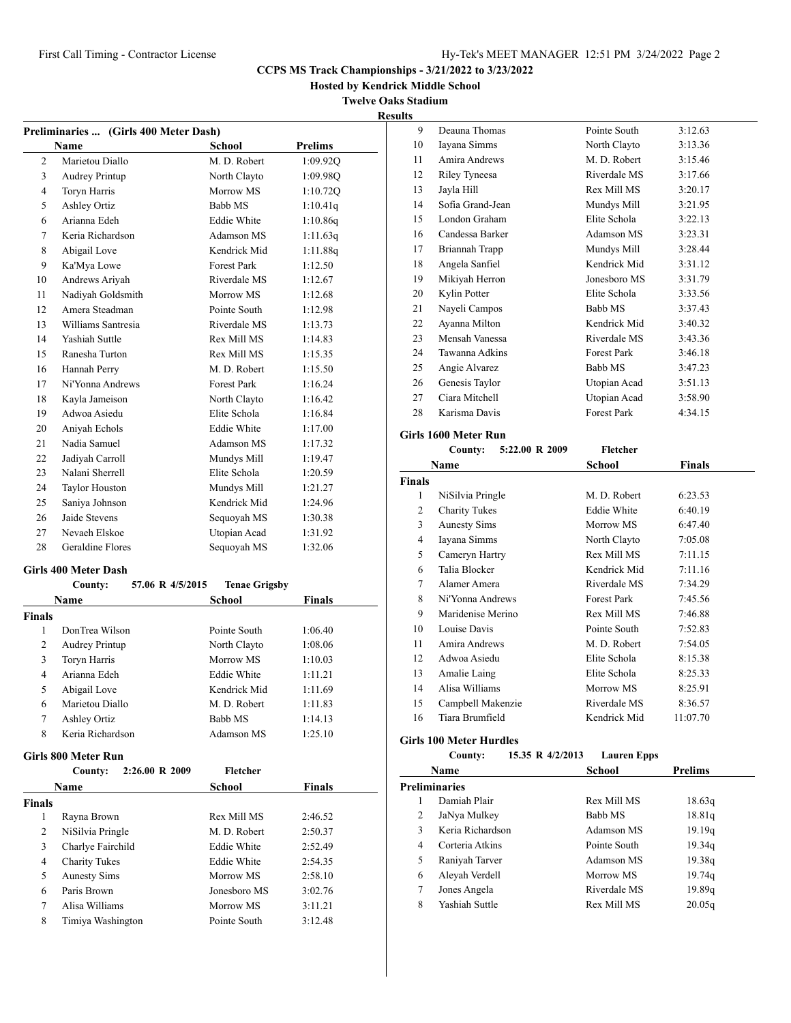## First Call Timing - Contractor License Hy-Tek's MEET MANAGER 12:51 PM 3/24/2022 Page 2

## **CCPS MS Track Championships - 3/21/2022 to 3/23/2022**

**Hosted by Kendrick Middle School**

**Twelve Oaks Stadium**

|    | Preliminaries  (Girls 400 Meter Dash) |                    |                |  |
|----|---------------------------------------|--------------------|----------------|--|
|    | <b>Name</b>                           | School             | <b>Prelims</b> |  |
| 2  | Marietou Diallo                       | M. D. Robert       | 1:09.92Q       |  |
| 3  | <b>Audrey Printup</b>                 | North Clayto       | 1:09.98Q       |  |
| 4  | Toryn Harris                          | Morrow MS          | 1:10.720       |  |
| 5  | <b>Ashley Ortiz</b>                   | Babb MS            | 1:10.41q       |  |
| 6  | Arianna Edeh                          | <b>Eddie White</b> | 1:10.86q       |  |
| 7  | Keria Richardson                      | Adamson MS         | 1:11.63q       |  |
| 8  | Abigail Love                          | Kendrick Mid       | 1:11.88q       |  |
| 9  | Ka'Mya Lowe                           | <b>Forest Park</b> | 1:12.50        |  |
| 10 | Andrews Ariyah                        | Riverdale MS       | 1:12.67        |  |
| 11 | Nadiyah Goldsmith                     | Morrow MS          | 1:12.68        |  |
| 12 | Amera Steadman                        | Pointe South       | 1:12.98        |  |
| 13 | Williams Santresia                    | Riverdale MS       | 1:13.73        |  |
| 14 | Yashiah Suttle                        | Rex Mill MS        | 1:14.83        |  |
| 15 | Ranesha Turton                        | Rex Mill MS        | 1:15.35        |  |
| 16 | Hannah Perry                          | M. D. Robert       | 1:15.50        |  |
| 17 | Ni'Yonna Andrews                      | <b>Forest Park</b> | 1:16.24        |  |
| 18 | Kayla Jameison                        | North Clayto       | 1:16.42        |  |
| 19 | Adwoa Asiedu                          | Elite Schola       | 1:16.84        |  |
| 20 | Aniyah Echols                         | <b>Eddie White</b> | 1:17.00        |  |
| 21 | Nadia Samuel                          | Adamson MS         | 1:17.32        |  |
| 22 | Jadiyah Carroll                       | Mundys Mill        | 1:19.47        |  |
| 23 | Nalani Sherrell                       | Elite Schola       | 1:20.59        |  |
| 24 | <b>Taylor Houston</b>                 | Mundys Mill        | 1:21.27        |  |
| 25 | Saniya Johnson                        | Kendrick Mid       | 1:24.96        |  |
| 26 | Jaide Stevens                         | Sequoyah MS        | 1:30.38        |  |
| 27 | Nevaeh Elskoe                         | Utopian Acad       | 1:31.92        |  |
| 28 | Geraldine Flores                      | Sequoyah MS        | 1:32.06        |  |
|    |                                       |                    |                |  |

## **Girls 400 Meter Dash**

|               | County:               | 57.06 R 4/5/2015 | <b>Tenae Grigsby</b> |               |
|---------------|-----------------------|------------------|----------------------|---------------|
|               | Name                  |                  | School               | <b>Finals</b> |
| <b>Finals</b> |                       |                  |                      |               |
| 1             | DonTrea Wilson        |                  | Pointe South         | 1:06.40       |
| 2             | <b>Audrey Printup</b> |                  | North Clayto         | 1:08.06       |
| 3             | Toryn Harris          |                  | Morrow MS            | 1:10.03       |
| 4             | Arianna Edeh          |                  | Eddie White          | 1:11.21       |
| 5             | Abigail Love          |                  | Kendrick Mid         | 1:11.69       |
| 6             | Marietou Diallo       |                  | M. D. Robert         | 1:11.83       |
| 7             | Ashley Ortiz          |                  | <b>Babb MS</b>       | 1:14.13       |
| 8             | Keria Richardson      |                  | Adamson MS           | 1:25.10       |

#### **Girls 800 Meter Run**

|               | 2:26.00 R 2009<br>County: | Fletcher     |               |
|---------------|---------------------------|--------------|---------------|
|               | Name                      | School       | <b>Finals</b> |
| <b>Finals</b> |                           |              |               |
| 1             | Rayna Brown               | Rex Mill MS  | 2:46.52       |
| 2             | NiSilvia Pringle          | M. D. Robert | 2:50.37       |
| 3             | Charlye Fairchild         | Eddie White  | 2:52.49       |
| 4             | <b>Charity Tukes</b>      | Eddie White  | 2:54.35       |
| 5             | <b>Aunesty Sims</b>       | Morrow MS    | 2:58.10       |
| 6             | Paris Brown               | Jonesboro MS | 3:02.76       |
| 7             | Alisa Williams            | Morrow MS    | 3:11.21       |
| 8             | Timiya Washington         | Pointe South | 3:12.48       |

| 9  | Deauna Thomas    | Pointe South       | 3:12.63 |
|----|------------------|--------------------|---------|
| 10 | Iayana Simms     | North Clayto       | 3:13.36 |
| 11 | Amira Andrews    | M. D. Robert       | 3:15.46 |
| 12 | Riley Tyneesa    | Riverdale MS       | 3:17.66 |
| 13 | Jayla Hill       | Rex Mill MS        | 3:20.17 |
| 14 | Sofia Grand-Jean | Mundys Mill        | 3:21.95 |
| 15 | London Graham    | Elite Schola       | 3:22.13 |
| 16 | Candessa Barker  | Adamson MS         | 3:23.31 |
| 17 | Briannah Trapp   | Mundys Mill        | 3:28.44 |
| 18 | Angela Sanfiel   | Kendrick Mid       | 3:31.12 |
| 19 | Mikiyah Herron   | Jonesboro MS       | 3:31.79 |
| 20 | Kylin Potter     | Elite Schola       | 3:33.56 |
| 21 | Nayeli Campos    | Babb MS            | 3:37.43 |
| 22 | Ayanna Milton    | Kendrick Mid       | 3:40.32 |
| 23 | Mensah Vanessa   | Riverdale MS       | 3:43.36 |
| 24 | Tawanna Adkins   | <b>Forest Park</b> | 3:46.18 |
| 25 | Angie Alvarez    | Babb MS            | 3:47.23 |
| 26 | Genesis Taylor   | Utopian Acad       | 3:51.13 |
| 27 | Ciara Mitchell   | Utopian Acad       | 3:58.90 |
| 28 | Karisma Davis    | <b>Forest Park</b> | 4:34.15 |
|    |                  |                    |         |

## **Girls 1600 Meter Run**

|               | 5:22.00 R 2009<br>County: | Fletcher           |               |
|---------------|---------------------------|--------------------|---------------|
|               | Name                      | School             | <b>Finals</b> |
| <b>Finals</b> |                           |                    |               |
| 1             | NiSilvia Pringle          | M. D. Robert       | 6:23.53       |
| 2             | <b>Charity Tukes</b>      | Eddie White        | 6:40.19       |
| 3             | <b>Aunesty Sims</b>       | Morrow MS          | 6:47.40       |
| 4             | Iayana Simms              | North Clayto       | 7:05.08       |
| 5             | Cameryn Hartry            | Rex Mill MS        | 7:11.15       |
| 6             | Talia Blocker             | Kendrick Mid       | 7:11.16       |
| 7             | Alamer Amera              | Riverdale MS       | 7:34.29       |
| 8             | Ni'Yonna Andrews          | <b>Forest Park</b> | 7:45.56       |
| 9             | Maridenise Merino         | Rex Mill MS        | 7:46.88       |
| 10            | Louise Davis              | Pointe South       | 7:52.83       |
| 11            | Amira Andrews             | M. D. Robert       | 7:54.05       |
| 12            | Adwoa Asiedu              | Elite Schola       | 8:15.38       |
| 13            | Amalie Laing              | Elite Schola       | 8:25.33       |
| 14            | Alisa Williams            | Morrow MS          | 8:25.91       |
| 15            | Campbell Makenzie         | Riverdale MS       | 8:36.57       |
| 16            | Tiara Brumfield           | Kendrick Mid       | 11:07.70      |

# **Girls 100 Meter Hurdles**

| лисісі пинису |                  |                    |
|---------------|------------------|--------------------|
| County:       | 15.35 R 4/2/2013 | <b>Lauren Epps</b> |
| -----         |                  | $C - L = -1$       |

|                      | Name             | School       | Prelims |
|----------------------|------------------|--------------|---------|
| <b>Preliminaries</b> |                  |              |         |
|                      | Damiah Plair     | Rex Mill MS  | 18.63q  |
| 2                    | JaNya Mulkey     | Babb MS      | 18.81q  |
| 3                    | Keria Richardson | Adamson MS   | 19.19q  |
| 4                    | Corteria Atkins  | Pointe South | 19.34q  |
| 5                    | Raniyah Tarver   | Adamson MS   | 19.38q  |
| 6                    | Aleyah Verdell   | Morrow MS    | 19.74q  |
| 7                    | Jones Angela     | Riverdale MS | 19.89q  |
| 8                    | Yashiah Suttle   | Rex Mill MS  | 20.05q  |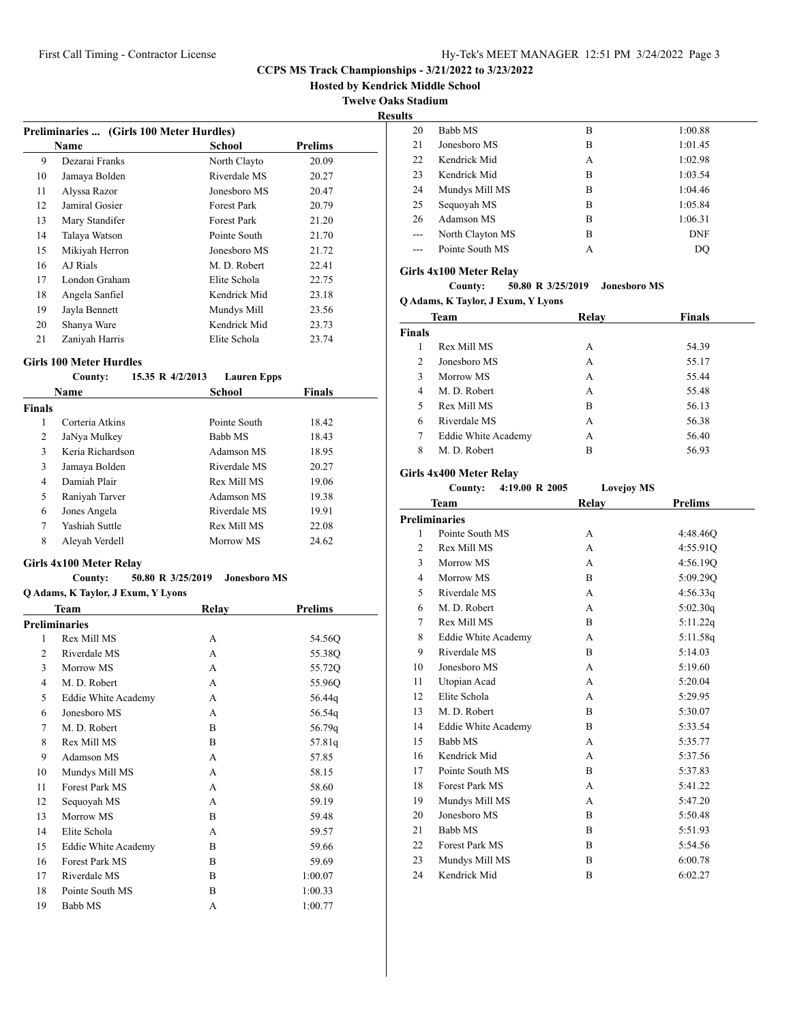**Hosted by Kendrick Middle School**

**Twelve Oaks Stadium**

**Results**

|                                         |                |              | <b>Preliminaries </b> (Girls 100 Meter Hurdles) |  |  |
|-----------------------------------------|----------------|--------------|-------------------------------------------------|--|--|
| <b>Name</b><br>School<br><b>Prelims</b> |                |              |                                                 |  |  |
| 9                                       | Dezarai Franks | North Clayto | 20.09                                           |  |  |
| 10                                      | Jamaya Bolden  | Riverdale MS | 20.27                                           |  |  |
| 11                                      | Alyssa Razor   | Jonesboro MS | 20.47                                           |  |  |
| 12                                      | Jamiral Gosier | Forest Park  | 20.79                                           |  |  |
| 13                                      | Mary Standifer | Forest Park  | 21.20                                           |  |  |
| 14                                      | Talaya Watson  | Pointe South | 21.70                                           |  |  |
| 15                                      | Mikiyah Herron | Jonesboro MS | 21.72                                           |  |  |
| 16                                      | AJ Rials       | M. D. Robert | 22.41                                           |  |  |
| 17                                      | London Graham  | Elite Schola | 22.75                                           |  |  |
| 18                                      | Angela Sanfiel | Kendrick Mid | 23.18                                           |  |  |
| 19                                      | Jayla Bennett  | Mundys Mill  | 23.56                                           |  |  |
| 20                                      | Shanya Ware    | Kendrick Mid | 23.73                                           |  |  |
| 21                                      | Zaniyah Harris | Elite Schola | 23.74                                           |  |  |

#### **Girls 100 Meter Hurdles**

## **County: 15.35 R 4/2/2013 Lauren Epps**

|               | <b>Name</b>      | School       | <b>Finals</b> |  |
|---------------|------------------|--------------|---------------|--|
| <b>Finals</b> |                  |              |               |  |
| 1             | Corteria Atkins  | Pointe South | 18.42         |  |
| 2             | JaNya Mulkey     | Babb MS      | 18.43         |  |
| 3             | Keria Richardson | Adamson MS   | 18.95         |  |
| 3             | Jamaya Bolden    | Riverdale MS | 20.27         |  |
| 4             | Damiah Plair     | Rex Mill MS  | 19.06         |  |
| 5             | Raniyah Tarver   | Adamson MS   | 19.38         |  |
| 6             | Jones Angela     | Riverdale MS | 19.91         |  |
| 7             | Yashiah Suttle   | Rex Mill MS  | 22.08         |  |
| 8             | Aleyah Verdell   | Morrow MS    | 24.62         |  |
|               |                  |              |               |  |

## **Girls 4x100 Meter Relay**

#### **County: 50.80 R 3/25/2019 Jonesboro MS**

|    | Q Adams, K Taylor, J Exum, Y Lyons |              |                |
|----|------------------------------------|--------------|----------------|
|    | <b>Team</b>                        | Relay        | <b>Prelims</b> |
|    | <b>Preliminaries</b>               |              |                |
| 1  | Rex Mill MS                        | A            | 54.56Q         |
| 2  | Riverdale MS                       | A            | 55.38Q         |
| 3  | Morrow MS                          | A            | 55.72Q         |
| 4  | M. D. Robert                       | A            | 55.96Q         |
| 5  | Eddie White Academy                | A            | 56.44g         |
| 6  | Jonesboro MS                       | A            | 56.54q         |
| 7  | M. D. Robert                       | B            | 56.79q         |
| 8  | Rex Mill MS                        | B            | 57.81q         |
| 9  | Adamson MS                         | $\mathsf{A}$ | 57.85          |
| 10 | Mundys Mill MS                     | A            | 58.15          |
| 11 | Forest Park MS                     | A            | 58.60          |
| 12 | Sequoyah MS                        | A            | 59.19          |
| 13 | Morrow MS                          | B            | 59.48          |
| 14 | Elite Schola                       | A            | 59.57          |
| 15 | <b>Eddie White Academy</b>         | B            | 59.66          |
| 16 | Forest Park MS                     | B            | 59.69          |
| 17 | Riverdale MS                       | B            | 1:00.07        |
| 18 | Pointe South MS                    | B            | 1:00.33        |
| 19 | Babb MS                            | А            | 1:00.77        |

| .  |                  |   |            |
|----|------------------|---|------------|
| 20 | Babb MS          | в | 1:00.88    |
| 21 | Jonesboro MS     | в | 1:01.45    |
| 22 | Kendrick Mid     | А | 1:02.98    |
| 23 | Kendrick Mid     | B | 1:03.54    |
| 24 | Mundys Mill MS   | B | 1:04.46    |
| 25 | Sequoyah MS      | B | 1:05.84    |
| 26 | Adamson MS       | B | 1:06.31    |
|    | North Clayton MS | B | <b>DNF</b> |
|    | Pointe South MS  | А | DO         |
|    |                  |   |            |

## **Girls 4x100 Meter Relay**

**County: 50.80 R 3/25/2019 Jonesboro MS**

**Q Adams, K Taylor, J Exum, Y Lyons**

|               | <b>Team</b>         | Relay | <b>Finals</b> |
|---------------|---------------------|-------|---------------|
| <b>Finals</b> |                     |       |               |
|               | Rex Mill MS         | А     | 54.39         |
| 2             | Jonesboro MS        | А     | 55.17         |
| 3             | Morrow MS           | А     | 55.44         |
| 4             | M. D. Robert        | А     | 55.48         |
| 5             | Rex Mill MS         | В     | 56.13         |
| 6             | Riverdale MS        | А     | 56.38         |
| 7             | Eddie White Academy | А     | 56.40         |
| 8             | M. D. Robert        | в     | 56.93         |

#### **Girls 4x400 Meter Relay**

| County: | 4:19.00 R 2005 | <b>Lovejoy MS</b> |
|---------|----------------|-------------------|
|         |                |                   |

|                | <b>Team</b>                | Relay | <b>Prelims</b> |
|----------------|----------------------------|-------|----------------|
|                | <b>Preliminaries</b>       |       |                |
| 1              | Pointe South MS            | А     | 4:48.46Q       |
| $\overline{c}$ | Rex Mill MS                | A     | 4:55.91Q       |
| 3              | Morrow MS                  | A     | 4:56.19O       |
| 4              | Morrow MS                  | B     | 5:09.290       |
| 5              | Riverdale MS               | A     | 4:56.33q       |
| 6              | M. D. Robert               | A     | 5:02.30q       |
| 7              | Rex Mill MS                | B     | 5:11.22q       |
| 8              | <b>Eddie White Academy</b> | A     | 5:11.58q       |
| 9              | Riverdale MS               | B     | 5:14.03        |
| 10             | Jonesboro MS               | A     | 5:19.60        |
| 11             | Utopian Acad               | A     | 5:20.04        |
| 12             | Elite Schola               | A     | 5:29.95        |
| 13             | M. D. Robert               | B     | 5:30.07        |
| 14             | Eddie White Academy        | B     | 5:33.54        |
| 15             | Babb MS                    | A     | 5:35.77        |
| 16             | Kendrick Mid               | A     | 5:37.56        |
| 17             | Pointe South MS            | B     | 5:37.83        |
| 18             | Forest Park MS             | A     | 5:41.22        |
| 19             | Mundys Mill MS             | A     | 5:47.20        |
| 20             | Jonesboro MS               | B     | 5:50.48        |
| 21             | Babb MS                    | B     | 5:51.93        |
| 22             | Forest Park MS             | B     | 5:54.56        |
| 23             | Mundys Mill MS             | B     | 6:00.78        |
| 24             | Kendrick Mid               | B     | 6:02.27        |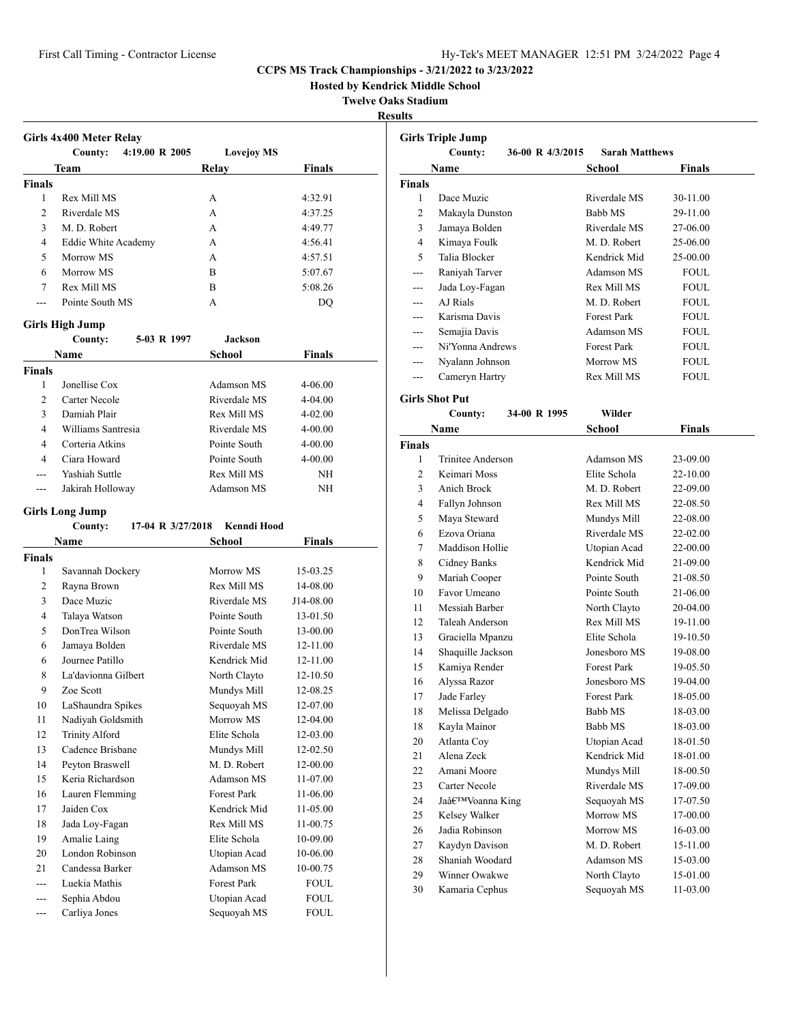**Hosted by Kendrick Middle School**

## **Twelve Oaks Stadium**

**Results**

|                | County:<br>4:19.00 R 2005  | <b>Lovejoy MS</b> |               |
|----------------|----------------------------|-------------------|---------------|
|                | Team                       | Relay             | <b>Finals</b> |
| <b>Finals</b>  |                            |                   |               |
| 1              | Rex Mill MS                | A                 | 4:32.91       |
| $\overline{c}$ | Riverdale MS               | A                 | 4:37.25       |
| 3              | M. D. Robert               | $\mathsf{A}$      | 4:49.77       |
| 4              | <b>Eddie White Academy</b> | A                 | 4:56.41       |
| 5              | Morrow MS                  | A                 | 4:57.51       |
| 6              | Morrow MS                  | B                 | 5:07.67       |
| 7              | <b>Rex Mill MS</b>         | $\overline{B}$    | 5:08.26       |
| $---$          | Pointe South MS            | A                 | DO            |
|                | <b>Girls High Jump</b>     |                   |               |
|                | 5-03 R 1997<br>County:     | <b>Jackson</b>    |               |
|                | <b>Name</b>                | School            | <b>Finals</b> |
| <b>Finals</b>  |                            |                   |               |
| 1              | Jonellise Cox              | Adamson MS        | $4 - 06.00$   |
| $\overline{c}$ | Carter Necole              | Riverdale MS      | $4 - 04.00$   |
| 3              | Damiah Plair               | Rex Mill MS       | $4 - 02.00$   |
| 4              | Williams Santresia         | Riverdale MS      | $4 - 00.00$   |
| $\overline{4}$ | Corteria Atkins            | Pointe South      | $4 - 00.00$   |
|                | Ciara Howard               | Pointe South      | $4 - 00.00$   |
| 4              |                            |                   | <b>NH</b>     |
|                | Yashiah Suttle             | Rex Mill MS       |               |
| $---$          | Jakirah Holloway           | Adamson MS        | NH            |

|                | County:               | <b>Kenndi Hood</b><br>17-04 R 3/27/2018 |              |
|----------------|-----------------------|-----------------------------------------|--------------|
|                | Name                  | School                                  | Finals       |
| <b>Finals</b>  |                       |                                         |              |
| 1              | Savannah Dockery      | Morrow MS                               | 15-03.25     |
| 2              | Rayna Brown           | Rex Mill MS                             | 14-08.00     |
| 3              | Dace Muzic            | Riverdale MS                            | J14-08.00    |
| $\overline{4}$ | Talaya Watson         | Pointe South                            | 13-01.50     |
| 5              | DonTrea Wilson        | Pointe South                            | 13-00.00     |
| 6              | Jamaya Bolden         | Riverdale MS                            | 12-11.00     |
| 6              | Journee Patillo       | Kendrick Mid                            | 12-11.00     |
| 8              | La'davionna Gilbert   | North Clayto                            | $12 - 10.50$ |
| 9              | Zoe Scott             | Mundys Mill                             | 12-08.25     |
| 10             | LaShaundra Spikes     | Sequoyah MS                             | 12-07.00     |
| 11             | Nadiyah Goldsmith     | Morrow MS                               | $12-04.00$   |
| 12             | <b>Trinity Alford</b> | Elite Schola                            | 12-03.00     |
| 13             | Cadence Brisbane      | Mundys Mill                             | $12 - 02.50$ |
| 14             | Peyton Braswell       | M. D. Robert                            | 12-00.00     |
| 15             | Keria Richardson      | Adamson MS                              | 11-07.00     |
| 16             | Lauren Flemming       | <b>Forest Park</b>                      | 11-06.00     |
| 17             | Jaiden Cox            | Kendrick Mid                            | 11-05.00     |
| 18             | Jada Loy-Fagan        | Rex Mill MS                             | 11-00.75     |
| 19             | Amalie Laing          | Elite Schola                            | 10-09.00     |
| 20             | London Robinson       | Utopian Acad                            | 10-06.00     |
| 21             | Candessa Barker       | Adamson MS                              | 10-00.75     |
|                | Luekia Mathis         | <b>Forest Park</b>                      | <b>FOUL</b>  |
| ---            | Sephia Abdou          | Utopian Acad                            | <b>FOUL</b>  |
| ---            | Carliya Jones         | Sequoyah MS                             | <b>FOUL</b>  |

|                | <b>Girls Triple Jump</b>    |                       |               |
|----------------|-----------------------------|-----------------------|---------------|
|                | 36-00 R 4/3/2015<br>County: | <b>Sarah Matthews</b> |               |
|                | Name                        | School                | <b>Finals</b> |
| <b>Finals</b>  |                             |                       |               |
| 1              | Dace Muzic                  | Riverdale MS          | 30-11.00      |
| 2              | Makayla Dunston             | Babb MS               | 29-11.00      |
| 3              | Jamaya Bolden               | Riverdale MS          | 27-06.00      |
| 4              | Kimaya Foulk                | M. D. Robert          | 25-06.00      |
| 5              | Talia Blocker               | Kendrick Mid          | 25-00.00      |
| $-$            | Raniyah Tarver              | Adamson MS            | <b>FOUL</b>   |
| ---            | Jada Loy-Fagan              | Rex Mill MS           | <b>FOUL</b>   |
| ---            | AJ Rials                    | M. D. Robert          | <b>FOUL</b>   |
| ---            | Karisma Davis               | <b>Forest Park</b>    | <b>FOUL</b>   |
|                | Semajia Davis               | Adamson MS            | <b>FOUL</b>   |
|                | Ni'Yonna Andrews            | <b>Forest Park</b>    | <b>FOUL</b>   |
| ---            | Nyalann Johnson             | Morrow MS             | <b>FOUL</b>   |
| ---            | Cameryn Hartry              | Rex Mill MS           | <b>FOUL</b>   |
|                | <b>Girls Shot Put</b>       |                       |               |
|                | 34-00 R 1995<br>County:     | Wilder                |               |
|                | Name                        | School                | Finals        |
| <b>Finals</b>  |                             |                       |               |
| 1              | Trinitee Anderson           | Adamson MS            | 23-09.00      |
| $\overline{c}$ | Keimari Moss                | Elite Schola          | 22-10.00      |
| 3              | Anich Brock                 | M. D. Robert          | 22-09.00      |
| 4              | Fallyn Johnson              | Rex Mill MS           | 22-08.50      |
| 5              | Maya Steward                | Mundys Mill           | 22-08.00      |
| 6              | Ezova Oriana                | Riverdale MS          | 22-02.00      |
| 7              | Maddison Hollie             | Utopian Acad          | 22-00.00      |
| 8              | Cidney Banks                | Kendrick Mid          | 21-09.00      |
| 9              | Mariah Cooper               | Pointe South          | 21-08.50      |
| 10             | Favor Umeano                | Pointe South          | 21-06.00      |
| 11             | Messiah Barber              | North Clayto          | 20-04.00      |
| 12             | Taleah Anderson             | Rex Mill MS           | 19-11.00      |
| 13             | Graciella Mpanzu            | Elite Schola          | 19-10.50      |
| 14             | Shaquille Jackson           | Jonesboro MS          | 19-08.00      |
| 15             | Kamiya Render               | <b>Forest Park</b>    | 19-05.50      |
| 16             | Alyssa Razor                | Jonesboro MS          | 19-04.00      |
| 17             | Jade Farley                 | <b>Forest Park</b>    | 18-05.00      |
| 18             | Melissa Delgado             | Babb MS               | 18-03.00      |
| 18             | Kayla Mainor                | Babb MS               | 18-03.00      |
| 20             | Atlanta Coy                 | Utopian Acad          | 18-01.50      |
| 21             | Alena Zeck                  | Kendrick Mid          | 18-01.00      |
| 22             | Amani Moore                 | Mundys Mill           | 18-00.50      |
| 23             | Carter Necole               | Riverdale MS          | 17-09.00      |
| 24             | Ja'Voanna King              | Sequoyah MS           | 17-07.50      |
| 25             | Kelsey Walker               | Morrow MS             | 17-00.00      |
| 26             | Jadia Robinson              | Morrow MS             | 16-03.00      |
| 27             | Kaydyn Davison              | M. D. Robert          | 15-11.00      |
| 28             | Shaniah Woodard             | Adamson MS            | 15-03.00      |
| 29             | Winner Owakwe               | North Clayto          | 15-01.00      |
| 30             | Kamaria Cephus              | Sequoyah MS           | 11-03.00      |
|                |                             |                       |               |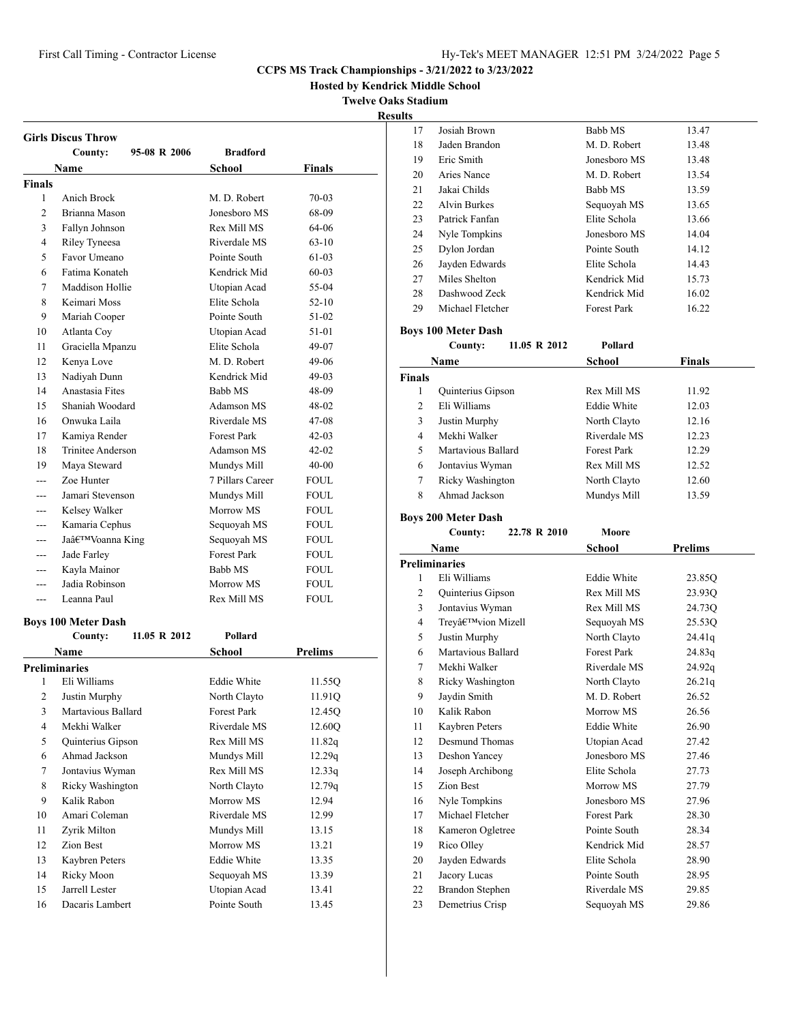Josiah Brown Babb MS 13.47 18 Jaden Brandon M. D. Robert 13.48

## **CCPS MS Track Championships - 3/21/2022 to 3/23/2022**

**ick Middle School** 

**Ks Stadium** 

|                |                            |                    | <b>CCPS MS Track Championships</b> |                       |
|----------------|----------------------------|--------------------|------------------------------------|-----------------------|
|                |                            |                    | <b>Hosted by Kendrick M</b>        | <b>Twelve Oaks St</b> |
|                |                            |                    |                                    | <b>Results</b>        |
|                |                            |                    |                                    |                       |
|                | <b>Girls Discus Throw</b>  |                    |                                    |                       |
|                | 95-08 R 2006<br>County:    | <b>Bradford</b>    |                                    |                       |
|                | <b>Name</b>                | <b>School</b>      | <b>Finals</b>                      |                       |
| <b>Finals</b>  |                            |                    |                                    |                       |
| 1              | Anich Brock                | M. D. Robert       | 70-03                              |                       |
| $\overline{2}$ | Brianna Mason              | Jonesboro MS       | 68-09                              |                       |
| 3              | Fallyn Johnson             | Rex Mill MS        | 64-06                              |                       |
| $\overline{4}$ | Riley Tyneesa              | Riverdale MS       | $63 - 10$                          |                       |
| 5              | Favor Umeano               | Pointe South       | 61-03                              |                       |
| 6              | Fatima Konateh             | Kendrick Mid       | 60-03                              |                       |
| 7              | Maddison Hollie            | Utopian Acad       | 55-04                              |                       |
| 8              | Keimari Moss               | Elite Schola       | 52-10                              |                       |
| 9              | Mariah Cooper              | Pointe South       | 51-02                              |                       |
| 10             | Atlanta Coy                | Utopian Acad       | 51-01                              | Boy                   |
| 11             | Graciella Mpanzu           | Elite Schola       | 49-07                              |                       |
| 12             | Kenya Love                 | M. D. Robert       | 49-06                              |                       |
| 13             | Nadiyah Dunn               | Kendrick Mid       | 49-03                              | Fin                   |
| 14             | Anastasia Fites            | Babb MS            | 48-09                              |                       |
| 15             | Shaniah Woodard            | <b>Adamson MS</b>  | 48-02                              |                       |
| 16             | Onwuka Laila               | Riverdale MS       | 47-08                              |                       |
| 17             | Kamiya Render              | Forest Park        | $42 - 03$                          |                       |
| 18             | Trinitee Anderson          | Adamson MS         | $42 - 02$                          |                       |
| 19             | Maya Steward               | Mundys Mill        | 40-00                              |                       |
| ---            | Zoe Hunter                 | 7 Pillars Career   | <b>FOUL</b>                        |                       |
| ---            | Jamari Stevenson           | Mundys Mill        | FOUL                               |                       |
| ---            | Kelsey Walker              | Morrow MS          | FOUL                               |                       |
| ---            | Kamaria Cephus             | Sequoyah MS        | FOUL                               | Boy                   |
| $---$          | Ja'Voanna King             | Sequoyah MS        | <b>FOUL</b>                        |                       |
| ---            | Jade Farley                | Forest Park        | FOUL                               |                       |
| $---$          | Kayla Mainor               | Babb MS            | <b>FOUL</b>                        | Pre                   |
| $\overline{a}$ | Jadia Robinson             | Morrow MS          | FOUL                               |                       |
| ---            | Leanna Paul                | Rex Mill MS        | <b>FOUL</b>                        |                       |
|                | <b>Boys 100 Meter Dash</b> |                    |                                    |                       |
|                | 11.05 R 2012<br>County:    | Pollard            |                                    |                       |
|                | Name                       | School             | <b>Prelims</b>                     |                       |
|                | <b>Preliminaries</b>       |                    |                                    |                       |
| 1              | Eli Williams               | <b>Eddie White</b> | 11.55Q                             |                       |
| $\overline{c}$ | Justin Murphy              | North Clayto       | 11.91Q                             |                       |
| 3              | Martavious Ballard         | Forest Park        | 12.45Q                             |                       |

4 Mekhi Walker Riverdale MS 12.60Q 5 Quinterius Gipson Rex Mill MS 11.82q Ahmad Jackson Mundys Mill 12.29q 7 Jontavius Wyman Rex Mill MS 12.33q Ricky Washington North Clayto 12.79q 9 Kalik Rabon Morrow MS 12.94 Amari Coleman Riverdale MS 12.99 Zyrik Milton Mundys Mill 13.15 12 Zion Best Morrow MS 13.21 Kaybren Peters Eddie White 13.35 14 Ricky Moon Sequoyah MS 13.39 Jarrell Lester Utopian Acad 13.41 16 Dacaris Lambert Pointe South 13.45

| 19            | Eric Smith                                | Jonesboro MS                | 13.48          |
|---------------|-------------------------------------------|-----------------------------|----------------|
| 20            | Aries Nance                               | M. D. Robert                | 13.54          |
| 21            | Jakai Childs                              | Babb MS                     | 13.59          |
| 22            | <b>Alvin Burkes</b>                       | Sequoyah MS                 | 13.65          |
| 23            | Patrick Fanfan                            | Elite Schola                | 13.66          |
| 24            | Nyle Tompkins                             | Jonesboro MS                | 14.04          |
| 25            | Dylon Jordan                              | Pointe South                | 14.12          |
| 26            | Jayden Edwards                            | Elite Schola                | 14.43          |
| 27            | Miles Shelton                             | Kendrick Mid                | 15.73          |
| 28            | Dashwood Zeck                             | Kendrick Mid                | 16.02          |
| 29            | Michael Fletcher                          | <b>Forest Park</b>          | 16.22          |
|               | <b>Boys 100 Meter Dash</b>                |                             |                |
|               | County:<br>11.05 R 2012                   | Pollard                     |                |
|               | <b>Name</b>                               | <b>School</b>               | <b>Finals</b>  |
| <b>Finals</b> |                                           |                             |                |
| 1             | Quinterius Gipson                         | Rex Mill MS                 | 11.92          |
| 2             | Eli Williams                              | <b>Eddie White</b>          | 12.03          |
| 3             | Justin Murphy                             | North Clayto                | 12.16          |
| 4             | Mekhi Walker                              | Riverdale MS                | 12.23          |
| 5             | Martavious Ballard                        | <b>Forest Park</b>          | 12.29          |
| 6             | Jontavius Wyman                           | Rex Mill MS                 | 12.52          |
| 7             | Ricky Washington                          | North Clayto                | 12.60          |
| 8             | Ahmad Jackson                             | Mundys Mill                 | 13.59          |
|               |                                           |                             |                |
|               | <b>Boys 200 Meter Dash</b>                |                             |                |
|               |                                           | Moore                       |                |
|               | County:<br>22.78 R 2010                   |                             |                |
|               | Name                                      | School                      | Prelims        |
|               | <b>Preliminaries</b>                      |                             |                |
| 1             | Eli Williams                              | <b>Eddie White</b>          | 23.85Q         |
| 2             | Quinterius Gipson                         | Rex Mill MS                 | 23.93Q         |
| 3             | Jontavius Wyman                           | Rex Mill MS                 | 24.73Q         |
| 4             | Trey'vion Mizell                          | Sequoyah MS                 | 25.53Q         |
| 5             | Justin Murphy                             | North Clayto                | 24.41q         |
| 6             | Martavious Ballard                        | <b>Forest Park</b>          | 24.83q         |
| 7             | Mekhi Walker                              | Riverdale MS                | 24.92q         |
| 8             | Ricky Washington                          | North Clayto                | 26.21q         |
| 9             | Jaydin Smith                              | M. D. Robert                | 26.52          |
| 10            | Kalik Rabon                               | Morrow MS                   | 26.56          |
| 11            | Kaybren Peters                            | <b>Eddie White</b>          | 26.90          |
| 12            | Desmund Thomas                            | Utopian Acad                | 27.42          |
| 13            | Deshon Yancey                             | Jonesboro MS                | 27.46          |
| 14            | Joseph Archibong                          | Elite Schola                | 27.73          |
| 15            | Zion Best                                 | Morrow MS                   | 27.79          |
| 16            | Nyle Tompkins                             | Jonesboro MS                | 27.96          |
| 17            | Michael Fletcher                          | <b>Forest Park</b>          | 28.30          |
| 18            | Kameron Ogletree                          | Pointe South                | 28.34          |
| 19            | Rico Olley                                | Kendrick Mid                | 28.57          |
| 20            | Jayden Edwards                            | Elite Schola                | 28.90          |
| 21            | Jacory Lucas                              | Pointe South                | 28.95          |
| 22<br>23      | <b>Brandon Stephen</b><br>Demetrius Crisp | Riverdale MS<br>Sequoyah MS | 29.85<br>29.86 |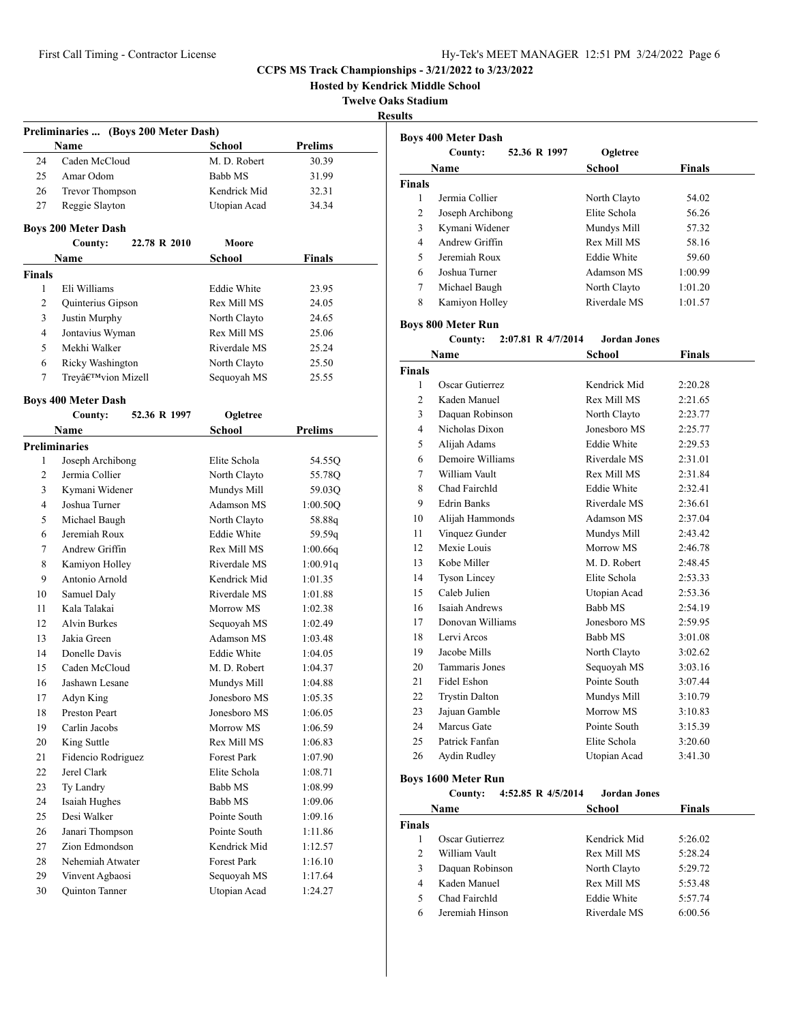**Hosted by Kendrick Middle School**

**Twelve Oaks Stadium**

| `Sulfs<br>۰. |
|--------------|
|--------------|

|                    | Preliminaries  (Boys 200 Meter Dash) |                              |                    |
|--------------------|--------------------------------------|------------------------------|--------------------|
|                    | Name                                 | <b>School</b>                | <b>Prelims</b>     |
| 24                 | Caden McCloud                        | M. D. Robert                 | 30.39              |
| 25                 | Amar Odom                            | Babb MS                      | 31.99              |
| 26                 | <b>Trevor Thompson</b>               | Kendrick Mid                 | 32.31              |
| 27                 | Reggie Slayton                       | Utopian Acad                 | 34.34              |
|                    |                                      |                              |                    |
|                    | <b>Boys 200 Meter Dash</b>           | Moore                        |                    |
|                    | County:<br>22.78 R 2010              |                              |                    |
|                    | Name                                 | <b>School</b>                | <b>Finals</b>      |
| <b>Finals</b><br>1 | Eli Williams                         | <b>Eddie White</b>           | 23.95              |
| 2                  | Quinterius Gipson                    | Rex Mill MS                  | 24.05              |
| 3                  | Justin Murphy                        | North Clayto                 | 24.65              |
| 4                  | Jontavius Wyman                      | Rex Mill MS                  | 25.06              |
| 5                  | Mekhi Walker                         | Riverdale MS                 | 25.24              |
| 6                  | Ricky Washington                     | North Clayto                 | 25.50              |
| 7                  | Trey'vion Mizell                     | Sequoyah MS                  | 25.55              |
|                    |                                      |                              |                    |
|                    | <b>Boys 400 Meter Dash</b>           |                              |                    |
|                    | County:<br>52.36 R 1997              | Ogletree                     |                    |
|                    | <b>Name</b>                          | School                       | Prelims            |
|                    | <b>Preliminaries</b>                 |                              |                    |
| 1                  | Joseph Archibong                     | Elite Schola                 | 54.55Q             |
| $\overline{2}$     | Jermia Collier                       | North Clayto                 | 55.78Q             |
| 3                  | Kymani Widener                       | Mundys Mill                  | 59.03Q             |
| 4                  | Joshua Turner                        | <b>Adamson MS</b>            | 1:00.50Q           |
| 5                  | Michael Baugh                        | North Clayto                 | 58.88q             |
| 6                  | Jeremiah Roux                        | <b>Eddie White</b>           | 59.59q             |
| 7                  | Andrew Griffin                       | Rex Mill MS                  | 1:00.66q           |
| 8                  | Kamiyon Holley                       | Riverdale MS                 | 1:00.91q           |
| 9                  | Antonio Arnold                       | Kendrick Mid                 | 1:01.35            |
| 10                 | Samuel Daly                          | Riverdale MS                 | 1:01.88            |
| 11                 | Kala Talakai                         | Morrow MS                    | 1:02.38            |
| 12                 | <b>Alvin Burkes</b>                  | Sequoyah MS                  | 1:02.49            |
| 13                 | Jakia Green                          | Adamson MS                   | 1:03.48            |
| 14                 | Donelle Davis                        | <b>Eddie White</b>           | 1:04.05            |
| 15                 | Caden McCloud                        | M. D. Robert                 | 1:04.37            |
| 16                 | Jashawn Lesane                       | Mundys Mill                  | 1:04.88            |
| 17                 | Adyn King                            | Jonesboro MS                 | 1:05.35            |
| 18                 | Preston Peart                        | Jonesboro MS                 | 1:06.05            |
| 19                 | Carlin Jacobs                        | Morrow MS                    | 1:06.59            |
| 20                 | King Suttle                          | Rex Mill MS                  | 1:06.83            |
| 21                 | Fidencio Rodriguez                   | <b>Forest Park</b>           | 1:07.90            |
| 22                 | Jerel Clark                          | Elite Schola                 | 1:08.71            |
| 23                 | Ty Landry                            | Babb MS                      | 1:08.99            |
| 24                 | Isaiah Hughes<br>Desi Walker         | Babb MS                      | 1:09.06            |
| 25                 |                                      | Pointe South<br>Pointe South | 1:09.16<br>1:11.86 |
| 26                 | Janari Thompson<br>Zion Edmondson    |                              |                    |
| 27<br>28           | Nehemiah Atwater                     | Kendrick Mid<br>Forest Park  | 1:12.57<br>1:16.10 |
| 29                 | Vinvent Agbaosi                      | Sequoyah MS                  | 1:17.64            |
| 30                 | Quinton Tanner                       | Utopian Acad                 | 1:24.27            |
|                    |                                      |                              |                    |

|               | <b>Boys 400 Meter Dash</b> |              |               |
|---------------|----------------------------|--------------|---------------|
|               | 52.36 R 1997<br>County:    | Ogletree     |               |
|               | <b>Name</b>                | School       | <b>Finals</b> |
| <b>Finals</b> |                            |              |               |
| 1             | Jermia Collier             | North Clayto | 54.02         |
| 2             | Joseph Archibong           | Elite Schola | 56.26         |
| 3             | Kymani Widener             | Mundys Mill  | 57.32         |
| 4             | Andrew Griffin             | Rex Mill MS  | 58.16         |
| 5             | Jeremiah Roux              | Eddie White  | 59.60         |
| 6             | Joshua Turner              | Adamson MS   | 1:00.99       |
| 7             | Michael Baugh              | North Clayto | 1:01.20       |
| 8             | Kamiyon Holley             | Riverdale MS | 1:01.57       |

## **Boys 800 Meter Run**

**County: 2:07.81 R 4/7/2014 Jordan Jones**

|                | Name                  | <b>School</b>      | <b>Finals</b> |  |
|----------------|-----------------------|--------------------|---------------|--|
| <b>Finals</b>  |                       |                    |               |  |
| 1              | Oscar Gutierrez       | Kendrick Mid       | 2:20.28       |  |
| $\overline{c}$ | Kaden Manuel          | Rex Mill MS        | 2:21.65       |  |
| 3              | Daquan Robinson       | North Clayto       | 2:23.77       |  |
| 4              | Nicholas Dixon        | Jonesboro MS       | 2:25.77       |  |
| 5              | Alijah Adams          | <b>Eddie White</b> | 2:29.53       |  |
| 6              | Demoire Williams      | Riverdale MS       | 2:31.01       |  |
| 7              | William Vault         | Rex Mill MS        | 2:31.84       |  |
| 8              | Chad Fairchld         | <b>Eddie White</b> | 2:32.41       |  |
| 9              | <b>Edrin Banks</b>    | Riverdale MS       | 2:36.61       |  |
| 10             | Alijah Hammonds       | Adamson MS         | 2:37.04       |  |
| 11             | Vinquez Gunder        | Mundys Mill        | 2:43.42       |  |
| 12             | Mexie Louis           | Morrow MS          | 2:46.78       |  |
| 13             | Kobe Miller           | M. D. Robert       | 2:48.45       |  |
| 14             | <b>Tyson Lincey</b>   | Elite Schola       | 2:53.33       |  |
| 15             | Caleb Julien          | Utopian Acad       | 2:53.36       |  |
| 16             | Isaiah Andrews        | <b>Babb MS</b>     | 2:54.19       |  |
| 17             | Donovan Williams      | Jonesboro MS       | 2:59.95       |  |
| 18             | Lervi Arcos           | Babb MS            | 3:01.08       |  |
| 19             | Jacobe Mills          | North Clayto       | 3:02.62       |  |
| 20             | Tammaris Jones        | Sequoyah MS        | 3:03.16       |  |
| 21             | Fidel Eshon           | Pointe South       | 3:07.44       |  |
| 22             | <b>Trystin Dalton</b> | Mundys Mill        | 3:10.79       |  |
| 23             | Jajuan Gamble         | Morrow MS          | 3:10.83       |  |
| 24             | Marcus Gate           | Pointe South       | 3:15.39       |  |
| 25             | Patrick Fanfan        | Elite Schola       | 3:20.60       |  |
| 26             | Aydin Rudley          | Utopian Acad       | 3:41.30       |  |
|                |                       |                    |               |  |

## **Boys 1600 Meter Run**

**County: 4:52.85 R 4/5/2014 Jordan Jones**

| Name          |                 | School       | <b>Finals</b> |
|---------------|-----------------|--------------|---------------|
| <b>Finals</b> |                 |              |               |
|               | Oscar Gutierrez | Kendrick Mid | 5:26.02       |
| $\mathcal{L}$ | William Vault   | Rex Mill MS  | 5:28.24       |
| 3             | Daquan Robinson | North Clayto | 5:29.72       |
| 4             | Kaden Manuel    | Rex Mill MS  | 5:53.48       |
| 5             | Chad Fairchld   | Eddie White  | 5:57.74       |
| 6             | Jeremiah Hinson | Riverdale MS | 6:00.56       |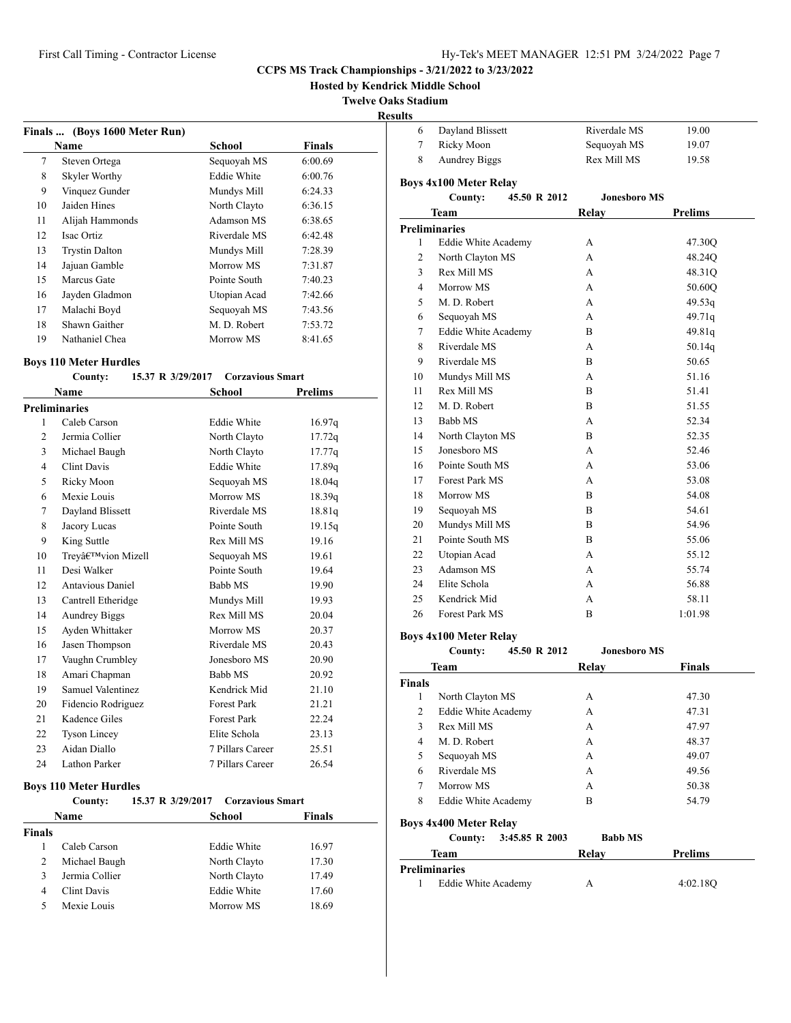**Hosted by Kendrick Middle School**

**Twelve Oaks Stadium**

#### **Results**

|    | Finals  (Boys 1600 Meter Run) |                    |         |
|----|-------------------------------|--------------------|---------|
|    | Name                          | School             | Finals  |
| 7  | Steven Ortega                 | Sequoyah MS        | 6:00.69 |
| 8  | Skyler Worthy                 | <b>Eddie White</b> | 6:00.76 |
| 9  | Vinquez Gunder                | Mundys Mill        | 6:24.33 |
| 10 | Jaiden Hines                  | North Clayto       | 6:36.15 |
| 11 | Alijah Hammonds               | Adamson MS         | 6:38.65 |
| 12 | Isac Ortiz                    | Riverdale MS       | 6:42.48 |
| 13 | <b>Trystin Dalton</b>         | Mundys Mill        | 7:28.39 |
| 14 | Jajuan Gamble                 | Morrow MS          | 7:31.87 |
| 15 | Marcus Gate                   | Pointe South       | 7:40.23 |
| 16 | Jayden Gladmon                | Utopian Acad       | 7:42.66 |
| 17 | Malachi Boyd                  | Sequoyah MS        | 7:43.56 |
| 18 | Shawn Gaither                 | M. D. Robert       | 7:53.72 |
| 19 | Nathaniel Chea                | Morrow MS          | 8:41.65 |

## **Boys 110 Meter Hurdles**

## **County: 15.37 R 3/29/2017 Corzavious Smart**

|                | Name                 | School             | <b>Prelims</b> |
|----------------|----------------------|--------------------|----------------|
|                | <b>Preliminaries</b> |                    |                |
| 1              | Caleb Carson         | <b>Eddie White</b> | 16.97q         |
| $\overline{2}$ | Jermia Collier       | North Clayto       | 17.72q         |
| 3              | Michael Baugh        | North Clayto       | 17.77q         |
| $\overline{4}$ | <b>Clint Davis</b>   | <b>Eddie White</b> | 17.89q         |
| 5              | Ricky Moon           | Sequoyah MS        | 18.04q         |
| 6              | Mexie Louis          | Morrow MS          | 18.39q         |
| 7              | Dayland Blissett     | Riverdale MS       | 18.81g         |
| 8              | Jacory Lucas         | Pointe South       | 19.15q         |
| 9              | King Suttle          | Rex Mill MS        | 19.16          |
| 10             | Trey'vion Mizell     | Sequoyah MS        | 19.61          |
| 11             | Desi Walker          | Pointe South       | 19.64          |
| 12             | Antavious Daniel     | Babb MS            | 19.90          |
| 13             | Cantrell Etheridge   | Mundys Mill        | 19.93          |
| 14             | <b>Aundrey Biggs</b> | Rex Mill MS        | 20.04          |
| 15             | Ayden Whittaker      | Morrow MS          | 20.37          |
| 16             | Jasen Thompson       | Riverdale MS       | 20.43          |
| 17             | Vaughn Crumbley      | Jonesboro MS       | 20.90          |
| 18             | Amari Chapman        | Babb MS            | 20.92          |
| 19             | Samuel Valentinez    | Kendrick Mid       | 21.10          |
| 20             | Fidencio Rodriguez   | <b>Forest Park</b> | 21.21          |
| 21             | Kadence Giles        | <b>Forest Park</b> | 22.24          |
| 22             | <b>Tyson Lincey</b>  | Elite Schola       | 23.13          |
| 23             | Aidan Diallo         | 7 Pillars Career   | 25.51          |
| 24             | Lathon Parker        | 7 Pillars Career   | 26.54          |

#### **Boys 110 Meter Hurdles**

#### **County: 15.37 R 3/29/2017 Corzavious Smart**

| Name           | School             | <b>Finals</b> |  |
|----------------|--------------------|---------------|--|
|                |                    |               |  |
| Caleb Carson   | <b>Eddie White</b> | 16.97         |  |
| Michael Baugh  | North Clayto       | 17.30         |  |
| Jermia Collier | North Clayto       | 17.49         |  |
| Clint Davis    | Eddie White        | 17.60         |  |
| Mexie Louis    | Morrow MS          | 18.69         |  |
|                |                    |               |  |

| 6              | Dayland Blissett              | Riverdale MS        | 19.00          |
|----------------|-------------------------------|---------------------|----------------|
| $\tau$         | Ricky Moon                    | Sequoyah MS         | 19.07          |
| 8              | <b>Aundrey Biggs</b>          | Rex Mill MS         | 19.58          |
|                | <b>Boys 4x100 Meter Relay</b> |                     |                |
|                | 45.50 R 2012<br>County:       | <b>Jonesboro MS</b> |                |
|                | <b>Team</b>                   | Relay               | <b>Prelims</b> |
|                | <b>Preliminaries</b>          |                     |                |
| 1              | <b>Eddie White Academy</b>    | А                   | 47.30Q         |
| $\overline{c}$ | North Clayton MS              | А                   | 48.24Q         |
| 3              | Rex Mill MS                   | А                   | 48.31Q         |
| $\overline{4}$ | Morrow MS                     | A                   | 50.60Q         |
| 5              | M. D. Robert                  | A                   | 49.53q         |
| 6              | Sequoyah MS                   | A                   | 49.71q         |
| 7              | <b>Eddie White Academy</b>    | B.                  | 49.81q         |
| 8              | Riverdale MS                  | А                   | 50.14q         |
| 9              | Riverdale MS                  | B                   | 50.65          |
| 10             | Mundys Mill MS                | А                   | 51.16          |
| 11             | Rex Mill MS                   | B                   | 51.41          |
| 12             | M. D. Robert                  | B                   | 51.55          |
| 13             | Babb MS                       | А                   | 52.34          |
| 14             | North Clayton MS              | B                   | 52.35          |
| 15             | Jonesboro MS                  | A                   | 52.46          |
| 16             | Pointe South MS               | А                   | 53.06          |
| 17             | Forest Park MS                | А                   | 53.08          |
| 18             | Morrow MS                     | B                   | 54.08          |
| 19             | Sequoyah MS                   | B                   | 54.61          |
| 20             | Mundys Mill MS                | B                   | 54.96          |
| 21             | Pointe South MS               | B                   | 55.06          |
| 22             | Utopian Acad                  | А                   | 55.12          |
| 23             | Adamson MS                    | A                   | 55.74          |
| 24             | Elite Schola                  | A                   | 56.88          |
| 25             | Kendrick Mid                  | А                   | 58.11          |
| 26             | <b>Forest Park MS</b>         | B                   | 1:01.98        |

## **Boys 4x100 Meter Relay**

|                      | County:                       | 45.50 R 2012   |       | <b>Jonesboro MS</b> |                |
|----------------------|-------------------------------|----------------|-------|---------------------|----------------|
|                      | Team                          |                | Relay |                     | <b>Finals</b>  |
| <b>Finals</b>        |                               |                |       |                     |                |
| 1                    | North Clayton MS              |                | A     |                     | 47.30          |
| 2                    | Eddie White Academy           |                | A     |                     | 47.31          |
| 3                    | Rex Mill MS                   |                | A     |                     | 47.97          |
| 4                    | M. D. Robert                  |                | A     |                     | 48.37          |
| 5                    | Sequoyah MS                   |                | A     |                     | 49.07          |
| 6                    | Riverdale MS                  |                | A     |                     | 49.56          |
| 7                    | Morrow MS                     |                | A     |                     | 50.38          |
| 8                    | Eddie White Academy           |                | B     |                     | 54.79          |
|                      | <b>Boys 4x400 Meter Relay</b> |                |       |                     |                |
|                      | County:                       | 3:45.85 R 2003 |       | <b>Babb MS</b>      |                |
|                      | <b>Team</b>                   |                | Relav |                     | <b>Prelims</b> |
| <b>Preliminaries</b> |                               |                |       |                     |                |
| 1                    | Eddie White Academy           |                | A     |                     | 4:02.18O       |
|                      |                               |                |       |                     |                |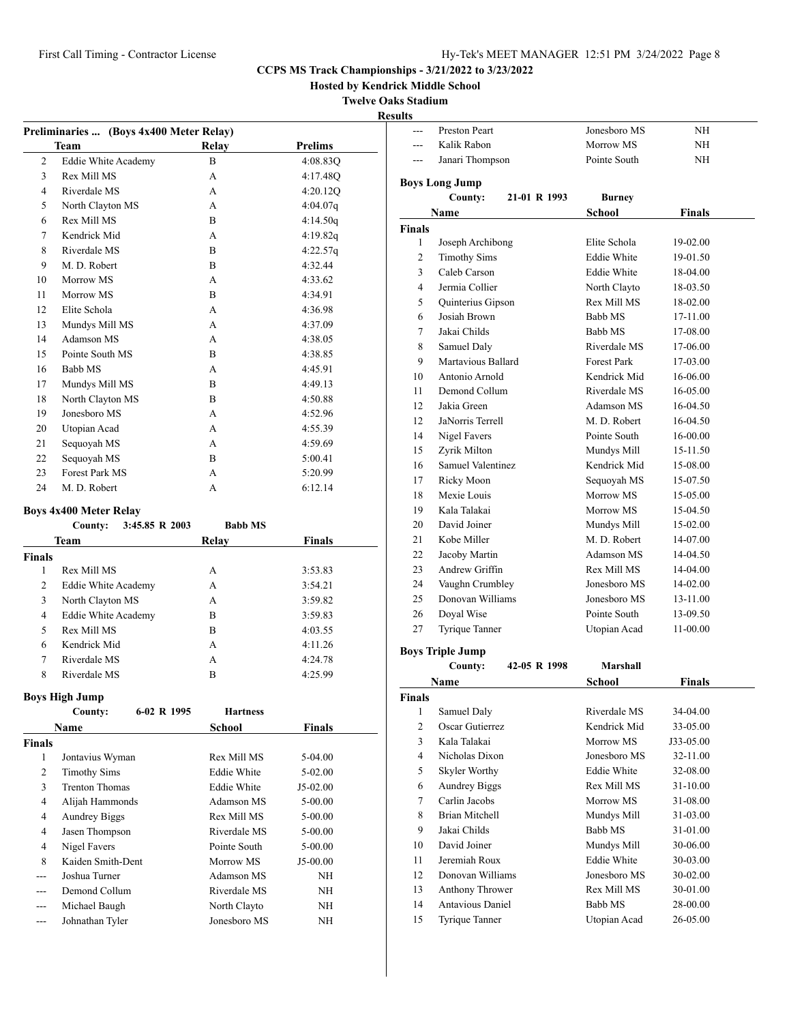**Hosted by Kendrick Middle School**

**Twelve Oaks Stadium**

# **Results**

| Preliminaries  (Boys 4x400 Meter Relay) |                                             |              |                |  |  |  |
|-----------------------------------------|---------------------------------------------|--------------|----------------|--|--|--|
|                                         | Team                                        | Relay        | <b>Prelims</b> |  |  |  |
| 2                                       | <b>Eddie White Academy</b>                  | B            | 4:08.83Q       |  |  |  |
| 3                                       | Rex Mill MS                                 | $\mathsf{A}$ | 4:17.48O       |  |  |  |
| 4                                       | Riverdale MS                                | $\mathsf{A}$ | 4:20.12Q       |  |  |  |
| 5                                       | North Clayton MS                            | $\mathsf{A}$ | 4:04.07q       |  |  |  |
| 6                                       | Rex Mill MS                                 | B            | 4:14.50q       |  |  |  |
| 7                                       | Kendrick Mid                                | A            | 4:19.82q       |  |  |  |
| 8                                       | Riverdale MS                                | B            | 4:22.57q       |  |  |  |
| 9                                       | M. D. Robert                                | B            | 4:32.44        |  |  |  |
| 10                                      | Morrow MS                                   | $\mathsf{A}$ | 4:33.62        |  |  |  |
| 11                                      | Morrow MS                                   | B            | 4:34.91        |  |  |  |
| 12                                      | Elite Schola                                | $\mathsf{A}$ | 4:36.98        |  |  |  |
| 13                                      | Mundys Mill MS                              | A            | 4:37.09        |  |  |  |
| 14                                      | Adamson MS                                  | $\mathsf{A}$ | 4:38.05        |  |  |  |
| 15                                      | Pointe South MS                             | B            | 4:38.85        |  |  |  |
| 16                                      | Babb MS                                     | A            | 4:45.91        |  |  |  |
| 17                                      | Mundys Mill MS                              | B            | 4:49.13        |  |  |  |
| 18                                      | North Clayton MS                            | B            | 4:50.88        |  |  |  |
| 19                                      | Jonesboro MS                                | $\mathsf{A}$ | 4:52.96        |  |  |  |
| 20                                      | Utopian Acad                                | A            | 4:55.39        |  |  |  |
| 21                                      | Sequoyah MS                                 | A            | 4:59.69        |  |  |  |
| 22                                      | Sequoyah MS                                 | B            | 5:00.41        |  |  |  |
| 23                                      | Forest Park MS                              | $\mathsf{A}$ | 5:20.99        |  |  |  |
| 24                                      | M. D. Robert                                | A            | 6:12.14        |  |  |  |
|                                         | <b>Boys 4x400 Meter Relay</b>               |              |                |  |  |  |
|                                         | 3:45.85 R 2003<br>County:<br><b>Babb MS</b> |              |                |  |  |  |

|               | County:<br>3:45.05 K 2005 | DAUU M.S |               |
|---------------|---------------------------|----------|---------------|
|               | Team                      | Relay    | <b>Finals</b> |
| <b>Finals</b> |                           |          |               |
| 1             | Rex Mill MS               | А        | 3:53.83       |
| 2             | Eddie White Academy       | А        | 3:54.21       |
| 3             | North Clayton MS          | А        | 3:59.82       |
| 4             | Eddie White Academy       | В        | 3:59.83       |
| 5             | Rex Mill MS               | B        | 4:03.55       |
| 6             | Kendrick Mid              | A        | 4:11.26       |
| 7             | Riverdale MS              | А        | 4:24.78       |
| 8             | Riverdale MS              | в        | 4:25.99       |

# **Boys High Jump**

|               | Do jo trigu o ump     |             |                    |               |  |
|---------------|-----------------------|-------------|--------------------|---------------|--|
|               | County:               | 6-02 R 1995 | <b>Hartness</b>    |               |  |
|               | Name                  |             | School             | <b>Finals</b> |  |
| <b>Finals</b> |                       |             |                    |               |  |
| 1             | Jontavius Wyman       |             | Rex Mill MS        | $5-04.00$     |  |
| 2             | <b>Timothy Sims</b>   |             | <b>Eddie White</b> | 5-02.00       |  |
| 3             | <b>Trenton Thomas</b> |             | <b>Eddie White</b> | J5-02.00      |  |
| 4             | Alijah Hammonds       |             | Adamson MS         | $5 - 00.00$   |  |
| 4             | <b>Aundrey Biggs</b>  |             | Rex Mill MS        | $5 - 00.00$   |  |
| 4             | Jasen Thompson        |             | Riverdale MS       | $5 - 00.00$   |  |
| 4             | Nigel Favers          |             | Pointe South       | $5 - 00.00$   |  |
| 8             | Kaiden Smith-Dent     |             | Morrow MS          | $J5-00.00$    |  |
| ---           | Joshua Turner         |             | Adamson MS         | NΗ            |  |
|               | Demond Collum         |             | Riverdale MS       | NΗ            |  |
| ---           | Michael Baugh         |             | North Clayto       | NΗ            |  |
| ---           | Johnathan Tyler       |             | Jonesboro MS       | NΗ            |  |

| $-$ --        | <b>Preston Peart</b>           | Jonesboro MS                       | NH            |
|---------------|--------------------------------|------------------------------------|---------------|
|               | Kalik Rabon                    | Morrow MS                          | ΝH            |
| ---           | Janari Thompson                | Pointe South                       | NH            |
|               |                                |                                    |               |
|               | Boys Long Jump<br>21-01 R 1993 |                                    |               |
|               | County:                        | Burney                             |               |
|               | Name                           | School                             | <b>Finals</b> |
| Finals        |                                |                                    |               |
| 1             | Joseph Archibong               | Elite Schola<br><b>Eddie White</b> | 19-02.00      |
| 2             | <b>Timothy Sims</b>            |                                    | 19-01.50      |
| 3             | Caleb Carson                   | <b>Eddie White</b>                 | 18-04.00      |
| 4             | Jermia Collier                 | North Clayto                       | 18-03.50      |
| 5             | Quinterius Gipson              | Rex Mill MS                        | 18-02.00      |
| 6             | Josiah Brown                   | Babb MS                            | 17-11.00      |
| 7             | Jakai Childs                   | Babb MS                            | 17-08.00      |
| 8             | Samuel Daly                    | Riverdale MS                       | 17-06.00      |
| 9             | Martavious Ballard             | <b>Forest Park</b>                 | 17-03.00      |
| 10            | Antonio Arnold                 | Kendrick Mid                       | 16-06.00      |
| 11            | Demond Collum                  | Riverdale MS                       | 16-05.00      |
| 12            | Jakia Green                    | Adamson MS                         | 16-04.50      |
| 12            | JaNorris Terrell               | M. D. Robert                       | 16-04.50      |
| 14            | Nigel Favers                   | Pointe South                       | 16-00.00      |
| 15            | Zyrik Milton                   | Mundys Mill                        | 15-11.50      |
| 16            | Samuel Valentinez              | Kendrick Mid                       | 15-08.00      |
| 17            | Ricky Moon                     | Sequoyah MS                        | 15-07.50      |
| 18            | Mexie Louis                    | Morrow MS                          | 15-05.00      |
| 19            | Kala Talakai                   | Morrow MS                          | 15-04.50      |
| 20            | David Joiner                   | Mundys Mill                        | 15-02.00      |
| 21            | Kobe Miller                    | M. D. Robert                       | 14-07.00      |
| 22            | Jacoby Martin                  | Adamson MS                         | 14-04.50      |
| 23            | Andrew Griffin                 | Rex Mill MS                        | 14-04.00      |
| 24            | Vaughn Crumbley                | Jonesboro MS                       | 14-02.00      |
| 25            | Donovan Williams               | Jonesboro MS                       | 13-11.00      |
| 26            | Doyal Wise                     | Pointe South                       | 13-09.50      |
| 27            | Tyrique Tanner                 | Utopian Acad                       | 11-00.00      |
|               | <b>Boys Triple Jump</b>        |                                    |               |
|               | 42-05 R 1998<br>County:        | Marshall                           |               |
|               | Name                           | <b>School</b>                      | <b>Finals</b> |
| <b>Finals</b> |                                |                                    |               |
| 1             | Samuel Daly                    | Riverdale MS                       | 34-04.00      |
| 2             | Oscar Gutierrez                | Kendrick Mid                       | 33-05.00      |
| 3             | Kala Talakai                   | Morrow MS                          | J33-05.00     |
| 4             | Nicholas Dixon                 | Jonesboro MS                       | 32-11.00      |
| 5             | Skyler Worthy                  | <b>Eddie White</b>                 | 32-08.00      |
| 6             | <b>Aundrey Biggs</b>           | Rex Mill MS                        | 31-10.00      |
| 7             | Carlin Jacobs                  | Morrow MS                          | 31-08.00      |
| 8             | <b>Brian Mitchell</b>          | Mundys Mill                        | 31-03.00      |
| 9             | Jakai Childs                   | Babb MS                            | 31-01.00      |
| 10            | David Joiner                   | Mundys Mill                        | 30-06.00      |
| 11            | Jeremiah Roux                  | <b>Eddie White</b>                 | 30-03.00      |
| 12            | Donovan Williams               | Jonesboro MS                       | 30-02.00      |
| 13            | Anthony Thrower                | Rex Mill MS                        | 30-01.00      |
| 14            | Antavious Daniel               | Babb MS                            | 28-00.00      |
| 15            | Tyrique Tanner                 | Utopian Acad                       | 26-05.00      |
|               |                                |                                    |               |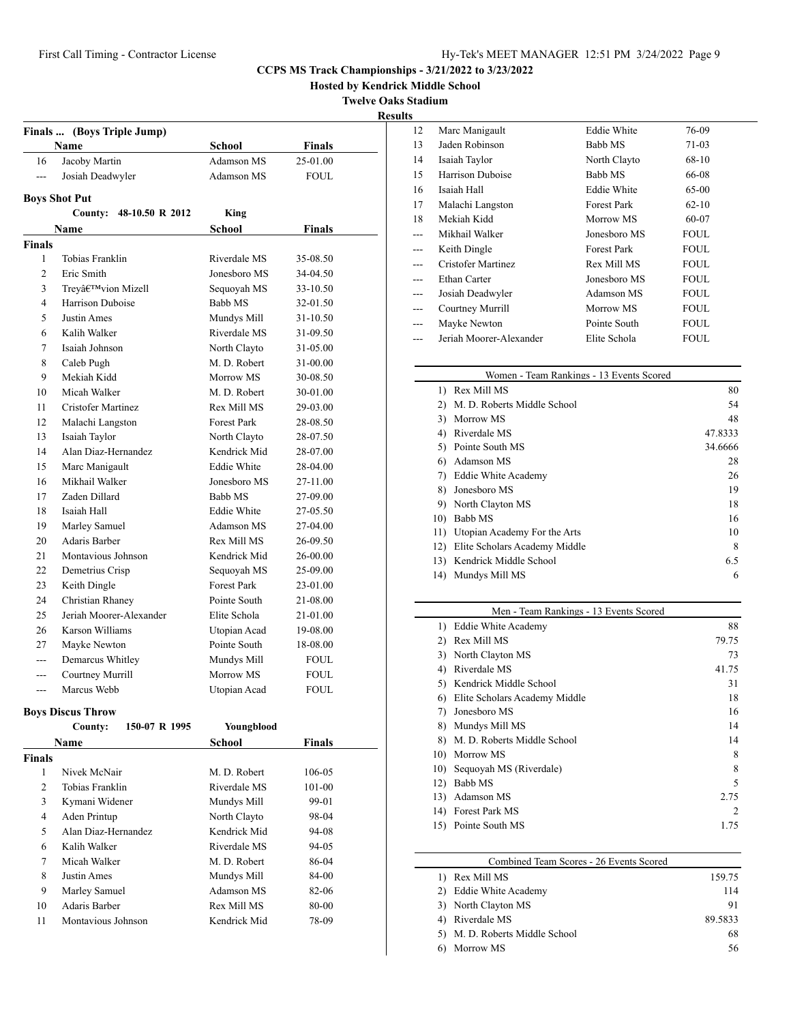**Hosted by Kendrick Middle School**

**Twelve Oaks Stadium**

**Results**

|                | Finals  (Boys Triple Jump) |                    |               |
|----------------|----------------------------|--------------------|---------------|
|                | <b>Name</b>                | School             | <b>Finals</b> |
| 16             | Jacoby Martin              | Adamson MS         | 25-01.00      |
| $\overline{a}$ | Josiah Deadwyler           | Adamson MS         | <b>FOUL</b>   |
|                |                            |                    |               |
|                | <b>Boys Shot Put</b>       |                    |               |
|                | 48-10.50 R 2012<br>County: | King               |               |
|                | Name                       | School             | Finals        |
| <b>Finals</b>  |                            |                    |               |
| 1              | Tobias Franklin            | Riverdale MS       | 35-08.50      |
| $\overline{c}$ | Eric Smith                 | Jonesboro MS       | 34-04.50      |
| 3              | Trey'vion Mizell           | Sequoyah MS        | 33-10.50      |
| 4              | Harrison Duboise           | Babb MS            | 32-01.50      |
| 5              | Justin Ames                | Mundys Mill        | 31-10.50      |
| 6              | Kalih Walker               | Riverdale MS       | 31-09.50      |
| 7              | Isaiah Johnson             | North Clayto       | 31-05.00      |
| 8              | Caleb Pugh                 | M. D. Robert       | 31-00.00      |
| 9              | Mekiah Kidd                | Morrow MS          | 30-08.50      |
| 10             | Micah Walker               | M. D. Robert       | 30-01.00      |
| 11             | Cristofer Martinez         | Rex Mill MS        | 29-03.00      |
| 12             | Malachi Langston           | <b>Forest Park</b> | 28-08.50      |
| 13             | Isaiah Taylor              | North Clayto       | 28-07.50      |
| 14             | Alan Diaz-Hernandez        | Kendrick Mid       | 28-07.00      |
| 15             | Marc Manigault             | <b>Eddie White</b> | 28-04.00      |
| 16             | Mikhail Walker             | Jonesboro MS       | 27-11.00      |
| 17             | Zaden Dillard              | <b>Babb MS</b>     | 27-09.00      |
| 18             | Isaiah Hall                | <b>Eddie White</b> | 27-05.50      |
| 19             | Marley Samuel              | Adamson MS         | 27-04.00      |
| 20             | Adaris Barber              | Rex Mill MS        | 26-09.50      |
| 21             | Montavious Johnson         | Kendrick Mid       | 26-00.00      |
| 22             | Demetrius Crisp            | Sequoyah MS        | 25-09.00      |
| 23             | Keith Dingle               | <b>Forest Park</b> | 23-01.00      |
| 24             | Christian Rhaney           | Pointe South       | 21-08.00      |
| 25             | Jeriah Moorer-Alexander    | Elite Schola       | 21-01.00      |
| 26             | Karson Williams            | Utopian Acad       | 19-08.00      |
| 27             | Mayke Newton               | Pointe South       | 18-08.00      |
| $- - -$        | Demarcus Whitley           | Mundys Mill        | FOUL          |
| ---            | Courtney Murrill           | Morrow MS          | FOUL          |
|                | Marcus Webb                | Utopian Acad       | <b>FOUL</b>   |

## **Boys Discus Throw**

|               | 150-07 R 1995<br>County: | Youngblood   |               |
|---------------|--------------------------|--------------|---------------|
|               | Name                     | School       | <b>Finals</b> |
| <b>Finals</b> |                          |              |               |
| 1             | Nivek McNair             | M. D. Robert | 106-05        |
| 2             | Tobias Franklin          | Riverdale MS | 101-00        |
| 3             | Kymani Widener           | Mundys Mill  | 99-01         |
| 4             | Aden Printup             | North Clayto | 98-04         |
| 5             | Alan Diaz-Hernandez      | Kendrick Mid | 94-08         |
| 6             | Kalih Walker             | Riverdale MS | 94-05         |
| 7             | Micah Walker             | M. D. Robert | 86-04         |
| 8             | Justin Ames              | Mundys Mill  | 84-00         |
| 9             | Marley Samuel            | Adamson MS   | 82-06         |
| 10            | Adaris Barber            | Rex Mill MS  | 80-00         |
| 11            | Montavious Johnson       | Kendrick Mid | 78-09         |

| 12  | Marc Manigault          | <b>Eddie White</b> | 76-09       |
|-----|-------------------------|--------------------|-------------|
| 13  | Jaden Robinson          | Babb MS            | 71-03       |
| 14  | Isaiah Taylor           | North Clayto       | 68-10       |
| 15  | Harrison Duboise        | Babb MS            | 66-08       |
| 16  | Isaiah Hall             | <b>Eddie White</b> | 65-00       |
| 17  | Malachi Langston        | <b>Forest Park</b> | $62 - 10$   |
| 18  | Mekiah Kidd             | Morrow MS          | 60-07       |
| --- | Mikhail Walker          | Jonesboro MS       | <b>FOUL</b> |
|     | Keith Dingle            | Forest Park        | <b>FOUL</b> |
|     | Cristofer Martinez      | Rex Mill MS        | FOUL.       |
| --- | Ethan Carter            | Jonesboro MS       | <b>FOUL</b> |
| --- | Josiah Deadwyler        | Adamson MS         | <b>FOUL</b> |
| --- | Courtney Murrill        | Morrow MS          | <b>FOUL</b> |
|     | Mayke Newton            | Pointe South       | <b>FOUL</b> |
|     | Jeriah Moorer-Alexander | Elite Schola       | <b>FOUL</b> |
|     |                         |                    |             |

| Women - Team Rankings - 13 Events Scored |                               |         |  |  |
|------------------------------------------|-------------------------------|---------|--|--|
| 1)                                       | Rex Mill MS                   | 80      |  |  |
| 2)                                       | M. D. Roberts Middle School   | 54      |  |  |
| 3)                                       | Morrow MS                     | 48      |  |  |
| 4)                                       | Riverdale MS                  | 47.8333 |  |  |
| 5)                                       | Pointe South MS               | 34.6666 |  |  |
| 6)                                       | <b>Adamson MS</b>             | 28      |  |  |
| 7)                                       | Eddie White Academy           | 26      |  |  |
| 8)                                       | Jonesboro MS                  | 19      |  |  |
| 9)                                       | North Clayton MS              | 18      |  |  |
| 10)                                      | Babb MS                       | 16      |  |  |
| 11)                                      | Utopian Academy For the Arts  | 10      |  |  |
| 12)                                      | Elite Scholars Academy Middle | 8       |  |  |
| 13)                                      | Kendrick Middle School        | 6.5     |  |  |
| 14)                                      | Mundys Mill MS                | 6       |  |  |

| Men - Team Rankings - 13 Events Scored |                               |       |  |  |
|----------------------------------------|-------------------------------|-------|--|--|
| 1)                                     | Eddie White Academy           | 88    |  |  |
| 2)                                     | Rex Mill MS                   | 79.75 |  |  |
| 3)                                     | North Clayton MS              | 73    |  |  |
| 4)                                     | Riverdale MS                  | 41.75 |  |  |
| 5)                                     | Kendrick Middle School        | 31    |  |  |
| 6)                                     | Elite Scholars Academy Middle | 18    |  |  |
| 7)                                     | Jonesboro MS                  | 16    |  |  |
| 8)                                     | Mundys Mill MS                | 14    |  |  |
| 8)                                     | M. D. Roberts Middle School   | 14    |  |  |
| 10)                                    | Morrow MS                     | 8     |  |  |
| 10)                                    | Sequoyah MS (Riverdale)       | 8     |  |  |
| 12)                                    | Babb MS                       | 5     |  |  |
| 13)                                    | Adamson MS                    | 2.75  |  |  |
| 14)                                    | Forest Park MS                | 2     |  |  |
| 15)                                    | Pointe South MS               | 1.75  |  |  |
|                                        |                               |       |  |  |

| Combined Team Scores - 26 Events Scored |         |  |  |  |
|-----------------------------------------|---------|--|--|--|
| Rex Mill MS                             | 159.75  |  |  |  |
| Eddie White Academy                     | 114     |  |  |  |
| 3) North Clayton MS                     | 91      |  |  |  |
| 4) Riverdale MS                         | 89.5833 |  |  |  |
| 5) M. D. Roberts Middle School          | 68      |  |  |  |
| Morrow MS                               | 56      |  |  |  |